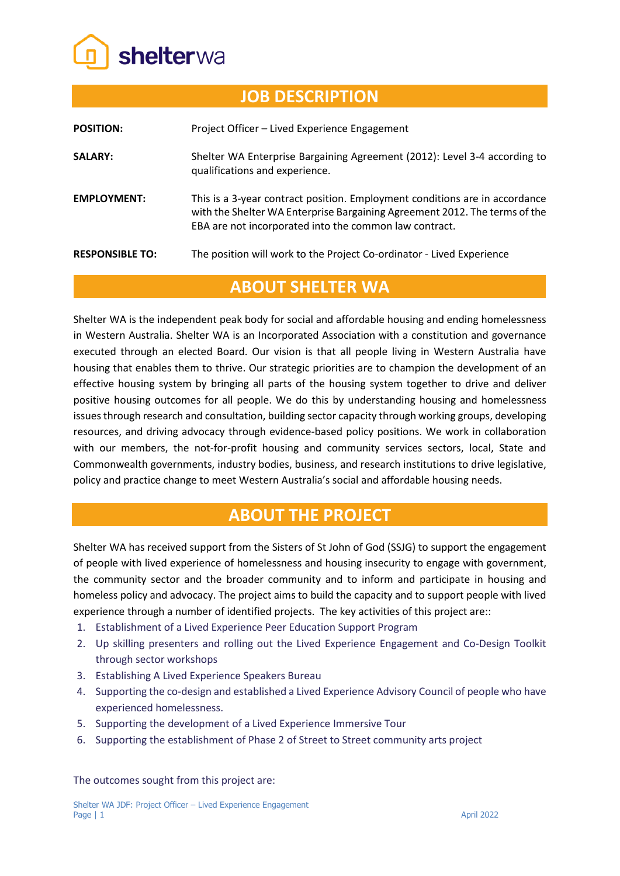

| <b>JOB DESCRIPTION</b> |                                                                                                                                                                                                                     |
|------------------------|---------------------------------------------------------------------------------------------------------------------------------------------------------------------------------------------------------------------|
| <b>POSITION:</b>       | Project Officer - Lived Experience Engagement                                                                                                                                                                       |
| <b>SALARY:</b>         | Shelter WA Enterprise Bargaining Agreement (2012): Level 3-4 according to<br>qualifications and experience.                                                                                                         |
| <b>EMPLOYMENT:</b>     | This is a 3-year contract position. Employment conditions are in accordance<br>with the Shelter WA Enterprise Bargaining Agreement 2012. The terms of the<br>EBA are not incorporated into the common law contract. |
| <b>RESPONSIBLE TO:</b> | The position will work to the Project Co-ordinator - Lived Experience                                                                                                                                               |

## **ABOUT SHELTER WA**

Shelter WA is the independent peak body for social and affordable housing and ending homelessness in Western Australia. Shelter WA is an Incorporated Association with a constitution and governance executed through an elected Board. Our vision is that all people living in Western Australia have housing that enables them to thrive. Our strategic priorities are to champion the development of an effective housing system by bringing all parts of the housing system together to drive and deliver positive housing outcomes for all people. We do this by understanding housing and homelessness issues through research and consultation, building sector capacity through working groups, developing resources, and driving advocacy through evidence-based policy positions. We work in collaboration with our members, the not-for-profit housing and community services sectors, local, State and Commonwealth governments, industry bodies, business, and research institutions to drive legislative, policy and practice change to meet Western Australia's social and affordable housing needs.

## **ABOUT THE PROJECT**

Shelter WA has received support from the Sisters of St John of God (SSJG) to support the engagement of people with lived experience of homelessness and housing insecurity to engage with government, the community sector and the broader community and to inform and participate in housing and homeless policy and advocacy. The project aims to build the capacity and to support people with lived experience through a number of identified projects. The key activities of this project are::

- 1. Establishment of a Lived Experience Peer Education Support Program
- 2. Up skilling presenters and rolling out the Lived Experience Engagement and Co-Design Toolkit through sector workshops
- 3. Establishing A Lived Experience Speakers Bureau
- 4. Supporting the co-design and established a Lived Experience Advisory Council of people who have experienced homelessness.
- 5. Supporting the development of a Lived Experience Immersive Tour
- 6. Supporting the establishment of Phase 2 of Street to Street community arts project

The outcomes sought from this project are: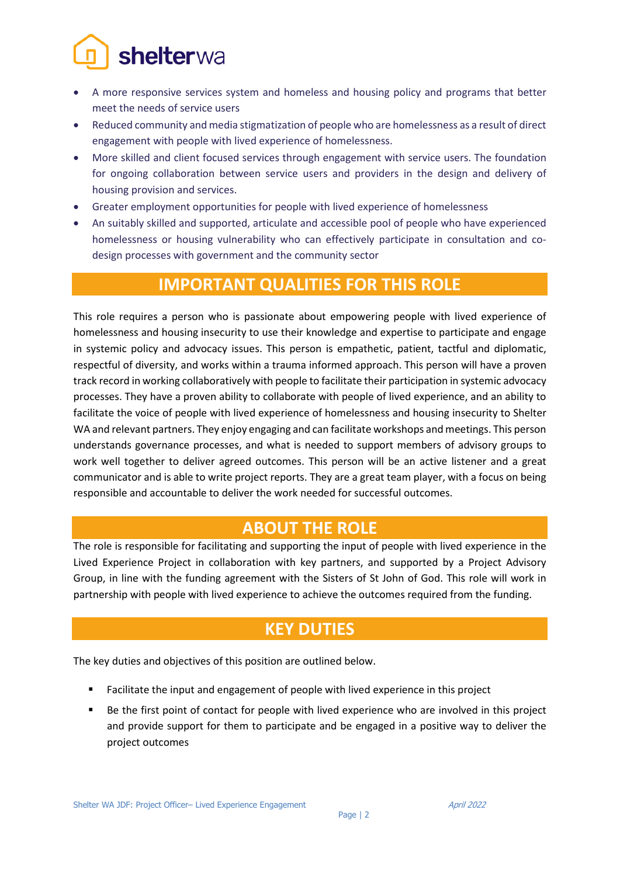# shelterwa

- A more responsive services system and homeless and housing policy and programs that better meet the needs of service users
- Reduced community and media stigmatization of people who are homelessness as a result of direct engagement with people with lived experience of homelessness.
- More skilled and client focused services through engagement with service users. The foundation for ongoing collaboration between service users and providers in the design and delivery of housing provision and services.
- Greater employment opportunities for people with lived experience of homelessness
- An suitably skilled and supported, articulate and accessible pool of people who have experienced homelessness or housing vulnerability who can effectively participate in consultation and codesign processes with government and the community sector

## **IMPORTANT QUALITIES FOR THIS ROLE**

This role requires a person who is passionate about empowering people with lived experience of homelessness and housing insecurity to use their knowledge and expertise to participate and engage in systemic policy and advocacy issues. This person is empathetic, patient, tactful and diplomatic, respectful of diversity, and works within a trauma informed approach. This person will have a proven track record in working collaboratively with people to facilitate their participation in systemic advocacy processes. They have a proven ability to collaborate with people of lived experience, and an ability to facilitate the voice of people with lived experience of homelessness and housing insecurity to Shelter WA and relevant partners. They enjoy engaging and can facilitate workshops and meetings. This person understands governance processes, and what is needed to support members of advisory groups to work well together to deliver agreed outcomes. This person will be an active listener and a great communicator and is able to write project reports. They are a great team player, with a focus on being responsible and accountable to deliver the work needed for successful outcomes.

# **ABOUT THE ROLE**

The role is responsible for facilitating and supporting the input of people with lived experience in the Lived Experience Project in collaboration with key partners, and supported by a Project Advisory Group, in line with the funding agreement with the Sisters of St John of God. This role will work in partnership with people with lived experience to achieve the outcomes required from the funding.

# **KEY DUTIES**

The key duties and objectives of this position are outlined below.

- Facilitate the input and engagement of people with lived experience in this project
- Be the first point of contact for people with lived experience who are involved in this project and provide support for them to participate and be engaged in a positive way to deliver the project outcomes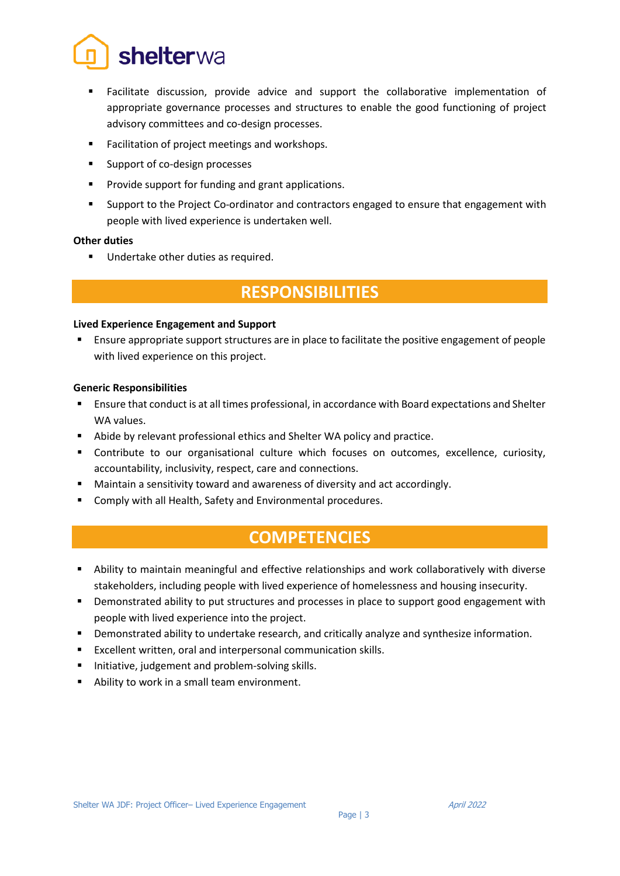

- Facilitate discussion, provide advice and support the collaborative implementation of appropriate governance processes and structures to enable the good functioning of project advisory committees and co-design processes.
- Facilitation of project meetings and workshops.
- Support of co-design processes
- Provide support for funding and grant applications.
- Support to the Project Co-ordinator and contractors engaged to ensure that engagement with people with lived experience is undertaken well.

#### **Other duties**

Undertake other duties as required.

## **RESPONSIBILITIES**

#### **Lived Experience Engagement and Support**

 Ensure appropriate support structures are in place to facilitate the positive engagement of people with lived experience on this project.

#### **Generic Responsibilities**

- Ensure that conduct is at all times professional, in accordance with Board expectations and Shelter WA values.
- Abide by relevant professional ethics and Shelter WA policy and practice.
- Contribute to our organisational culture which focuses on outcomes, excellence, curiosity, accountability, inclusivity, respect, care and connections.
- Maintain a sensitivity toward and awareness of diversity and act accordingly.
- Comply with all Health, Safety and Environmental procedures.

### **COMPETENCIES**

- Ability to maintain meaningful and effective relationships and work collaboratively with diverse stakeholders, including people with lived experience of homelessness and housing insecurity.
- **•** Demonstrated ability to put structures and processes in place to support good engagement with people with lived experience into the project.
- Demonstrated ability to undertake research, and critically analyze and synthesize information.
- Excellent written, oral and interpersonal communication skills.
- **Initiative, judgement and problem-solving skills.**
- Ability to work in a small team environment.